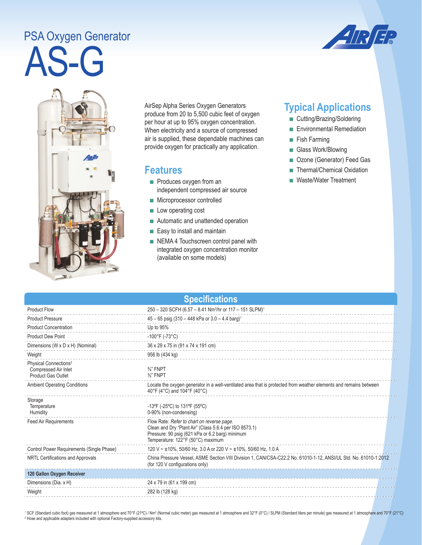## PSA Oxygen Generator

AS-G





AirSep Alpha Series Oxygen Generators produce from 20 to 5,500 cubic feet of oxygen per hour at up to 95% oxygen concentration. When electricity and a source of compressed air is supplied, these dependable machines can provide oxygen for practically any application.

## **Features**

- Produces oxygen from an independent compressed air source
- Microprocessor controlled
- Low operating cost
- Automatic and unattended operation
- Easy to install and maintain
- NEMA 4 Touchscreen control panel with integrated oxygen concentration monitor (available on some models)

## **Typical Applications**

- Cutting/Brazing/Soldering
- Environmental Remediation
- Fish Farming
- Glass Work/Blowing
- Ozone (Generator) Feed Gas
- Thermal/Chemical Oxidation
- Waste/Water Treatment

| <b>Specifications</b>                                                                  |                                                                                                                                                                                              |  |  |
|----------------------------------------------------------------------------------------|----------------------------------------------------------------------------------------------------------------------------------------------------------------------------------------------|--|--|
| <b>Product Flow</b>                                                                    | 250 - 320 SCFH (6.57 - 8.41 Nm <sup>3</sup> /hr or 117 - 151 SLPM) <sup>1</sup>                                                                                                              |  |  |
| <b>Product Pressure</b>                                                                | $45 - 65$ psig (310 - 448 kPa or 3.0 - 4.4 barg) <sup>1</sup>                                                                                                                                |  |  |
| <b>Product Concentration</b>                                                           | Up to 95%                                                                                                                                                                                    |  |  |
| <b>Product Dew Point</b>                                                               | $-100^{\circ}$ F (-73°C)                                                                                                                                                                     |  |  |
| Dimensions (W x D x H) (Nominal)                                                       | 36 x 29 x 75 in (91 x 74 x 191 cm)                                                                                                                                                           |  |  |
| Weight                                                                                 | 956 lb (434 kg)                                                                                                                                                                              |  |  |
| Physical Connections <sup>2</sup><br>Compressed Air Inlet<br><b>Product Gas Outlet</b> | $\frac{3}{4}$ " FNPT<br>$\frac{3}{8}$ " FNPT                                                                                                                                                 |  |  |
| <b>Ambient Operating Conditions</b>                                                    | Locate the oxygen generator in a well-ventilated area that is protected from weather elements and remains between<br>40°F (4°C) and 104°F (40°C)                                             |  |  |
| Storage<br>Temperature<br>Humidity                                                     | -13°F (-25°C) to 131°F (55°C)<br>0-90% (non-condensing)                                                                                                                                      |  |  |
| <b>Feed Air Requirements</b>                                                           | Flow Rate: Refer to chart on reverse page.<br>Clean and Dry "Plant Air" (Class 5.6.4 per ISO 8573.1)<br>Pressure: 90 psig (621 kPa or 6.2 barg) minimum<br>Temperature: 122°F (50°C) maximum |  |  |
| Control Power Requirements (Single Phase)                                              | 120 V ~ ±10%, 50/60 Hz, 3.0 A or 220 V ~ ±10%, 50/60 Hz, 1.0 A                                                                                                                               |  |  |
| NRTL Certifications and Approvals                                                      | China Pressure Vessel, ASME Section VIII Division 1, CAN/CSA-C22.2 No. 61010-1-12, ANSI/UL Std. No. 61010-1:2012<br>(for 120 V configurations only)                                          |  |  |
| 120 Gallon Oxygen Receiver                                                             |                                                                                                                                                                                              |  |  |
| Dimensions (Dia. x H)                                                                  | 24 x 79 in (61 x 199 cm)                                                                                                                                                                     |  |  |
| Weight                                                                                 | 282 lb (128 kg)                                                                                                                                                                              |  |  |

<sup>1</sup> SCF (Standard cubic foot) gas measured at 1 atmosphere and 70°F (21°C) / Nm<sup>3</sup> (Normal cubic meter) gas measured at 1 atmosphere and 32°F (0°C) / SLPM (Standard liters per minute) gas measured at 1 atmosphere and 70°F <sup>2</sup> Hose and applicable adapters included with optional Factory-supplied accessory kits.